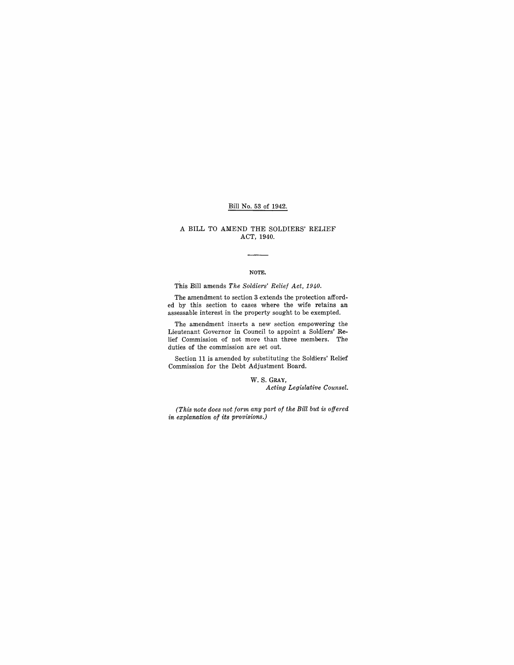### Bill No. 53 of 1942.

#### A **BILL** TO AMEND THE SOLDIERS' RELIEF ACT, 1940.

#### NOTE.

This Bill amends *The Soldiers' Relief Act, 1940.* 

The amendment to section 3 extends the protection afforded by this section to cases where the wife retains an assessable interest in the property sought to be exempted.

The amendment inserts a new section empowering the Lieutenant Governor in Couneil to appoint a Soldiers' Relief Commission of not more than three members. The duties of the commission are set out.

Section 11 is amended by substituting the Soldiers' Relief Commission for the Debt Adjustment Board.

> W. S. GRAY, *Acting Legislative Counsel.*

*(This note does not form any part of the Bill but is offered in explanation of its provisions.)*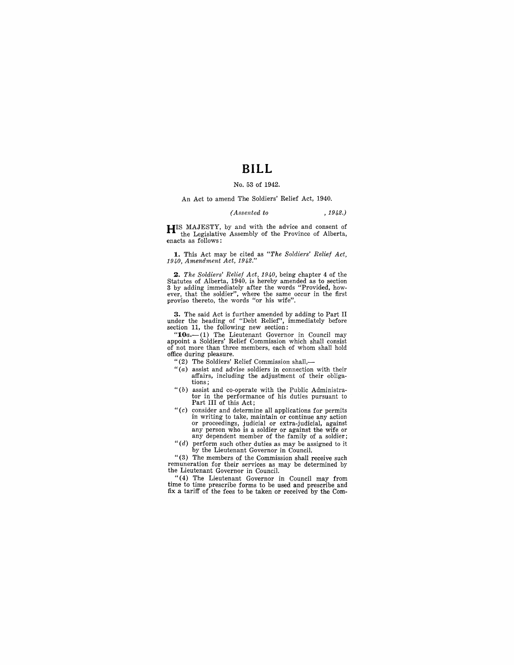# **BILL**

#### No. 53 of 1942.

An Act to amend The Soldiers' Relief Act, 1940.

#### *(Assented to* , 1942.)

**HIS** MAJESTY, by and with the advice and consent of the Legislative Assembly of the Province of Alberta, enacts as follows:

**1.** This Act may be cited as *"The Soldiers' Relief Act, 1940, Amendment Act, 1942."* 

*2. The Soldiers' Relief Act, 1940,* being chapter 4 of the Statutes of Alberta, 1940, is hereby amended as to section 3 by adding immediately after the words "Provided, how-ever, that the soldier", where the same occur in the first proviso thereto, the words "or his wife".

**3.** The said Act is further amended by adding to Part II under the heading of "Debt Relief", immediately before section 11, the following new section:

" $10a$ .-(1) The Lieutenant Governor in Council may appoint a Soldiers' Relief Commission which shall consist of not more than three members, each of whom shall hold office during pleasure.

"(2) The Soldiers' Relief Commission shall,-

- "(a) assist and advise soldiers in connection with their affairs, including the adjustment of their obligations;
- $``(b)$  assist and co-operate with the Public Administrator in the performance of his duties pursuant to Part **III** of this Act;
- " $(c)$  consider and determine all applications for permits in writing to take, maintain or continue any action or proceedings, judicial or extra-judicial, against any person who is a soldier or against the wife or any dependent member of the family of a soldier;
- *"(d)* perform such other duties as may be assigned to it by the Lieutenant Governor in Council.

"(3) The members of the Commission shall receive such remuneration for their services as may be determined by the Lieutenant Governor in Council.

" (4) The Lieutenant Governor in Council may from time to time prescribe forms to be used and prescribe and fix a tariff of the fees to be taken or received by the Com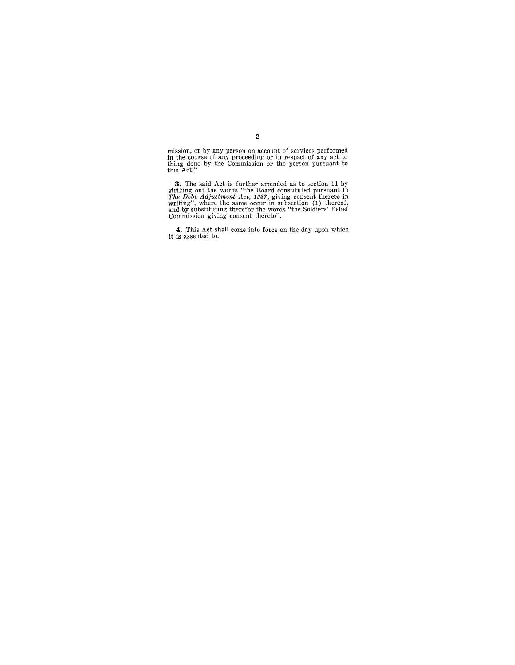mission, or by any person on account of services performed in the course of any proceeding or in respect of any act or thing done by the Commission or the person pursuant to this Act."

**3.** The said Act is further amended as to section 11 by striking out the words "the Board constituted pursuant to *The Debt Adjustment Act, 1937,* giving consent thereto in writing", where the same occur in subsection (1

**4.** This Act shall come into force on the day upon which it is assented to.

#### 2